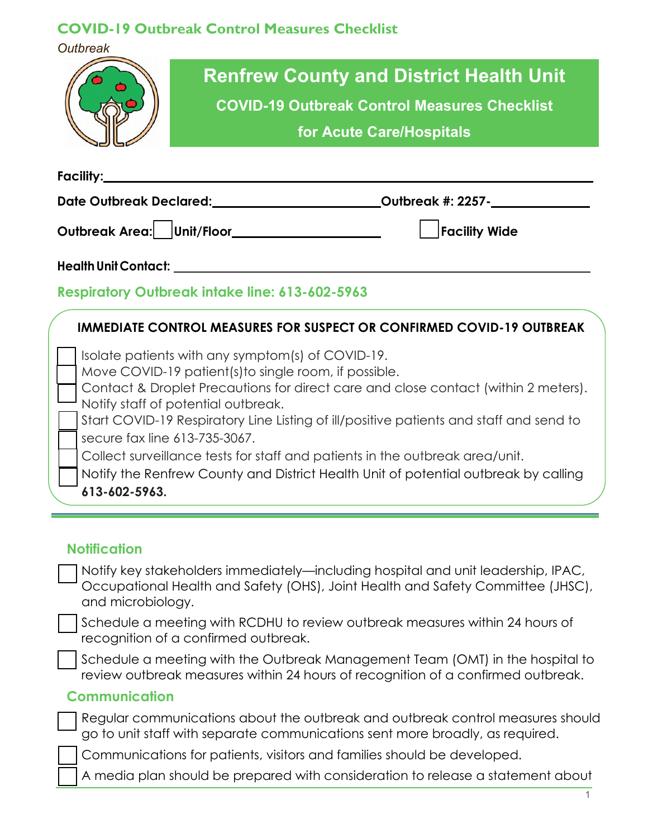*Outbreak*



**Facility:**

**Date Outbreak Declared: Outbreak #: 2257- \_\_\_\_\_\_\_\_\_\_\_\_\_\_\_**

Outbreak Area: Unit/Floor **Facility Wide** Putchers **Facility Wide** 

**HealthUnitContact:**

# **Respiratory Outbreak intake line: 613-602-5963**

### **IMMEDIATE CONTROL MEASURES FOR SUSPECT OR CONFIRMED COVID-19 OUTBREAK**

Isolate patients with any symptom(s) of COVID-19.

Move COVID-19 patient(s)to single room, if possible.

Contact & Droplet Precautions for direct care and close contact (within 2 meters). Notify staff of potential outbreak.

Start COVID-19 Respiratory Line Listing of ill/positive patients and staff and send to secure fax line 613-735-3067.

Collect surveillance tests for staff and patients in the outbreak area/unit.

Notify the Renfrew County and District Health Unit of potential outbreak by calling **613-602-5963.**

### **Notification**

Notify key stakeholders immediately—including hospital and unit leadership, IPAC, Occupational Health and Safety (OHS), Joint Health and Safety Committee (JHSC), and microbiology.

Schedule a meeting with RCDHU to review outbreak measures within 24 hours of recognition of a confirmed outbreak.

Schedule a meeting with the Outbreak Management Team (OMT) in the hospital to review outbreak measures within 24 hours of recognition of a confirmed outbreak.

### **Communication**

Regular communications about the outbreak and outbreak control measures should go to unit staff with separate communications sent more broadly, as required.

Communications for patients, visitors and families should be developed.

A media plan should be prepared with consideration to release a statement about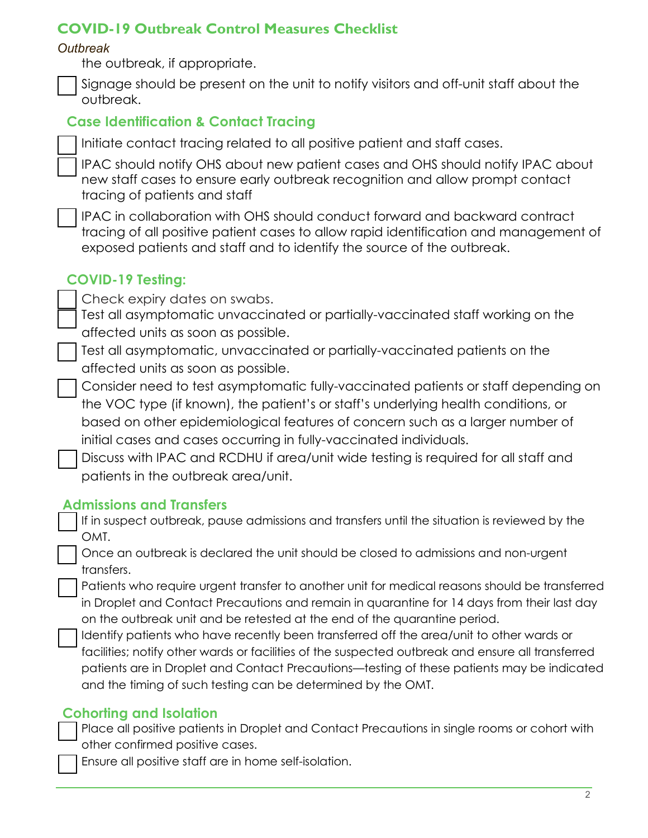#### *Outbreak*

the outbreak, if appropriate.

Signage should be present on the unit to notify visitors and off-unit staff about the outbreak.

## **Case Identification & Contact Tracing**

Initiate contact tracing related to all positive patient and staff cases.

IPAC should notify OHS about new patient cases and OHS should notify IPAC about new staff cases to ensure early outbreak recognition and allow prompt contact tracing of patients and staff

IPAC in collaboration with OHS should conduct forward and backward contract tracing of all positive patient cases to allow rapid identification and management of exposed patients and staff and to identify the source of the outbreak.

## **COVID-19 Testing:**

Check expiry dates on swabs.

Test all asymptomatic unvaccinated or partially-vaccinated staff working on the affected units as soon as possible.

Test all asymptomatic, unvaccinated or partially-vaccinated patients on the affected units as soon as possible.

Consider need to test asymptomatic fully-vaccinated patients or staff depending on the VOC type (if known), the patient's or staff's underlying health conditions, or based on other epidemiological features of concern such as a larger number of initial cases and cases occurring in fully-vaccinated individuals.

Discuss with IPAC and RCDHU if area/unit wide testing is required for all staff and patients in the outbreak area/unit.

### **Admissions and Transfers**

If in suspect outbreak, pause admissions and transfers until the situation is reviewed by the OMT.

Once an outbreak is declared the unit should be closed to admissions and non-urgent transfers.

Patients who require urgent transfer to another unit for medical reasons should be transferred in Droplet and Contact Precautions and remain in quarantine for 14 days from their last day on the outbreak unit and be retested at the end of the quarantine period.

Identify patients who have recently been transferred off the area/unit to other wards or facilities; notify other wards or facilities of the suspected outbreak and ensure all transferred patients are in Droplet and Contact Precautions—testing of these patients may be indicated and the timing of such testing can be determined by the OMT.

### **Cohorting and Isolation**

Place all positive patients in Droplet and Contact Precautions in single rooms or cohort with other confirmed positive cases.

Ensure all positive staff are in home self-isolation.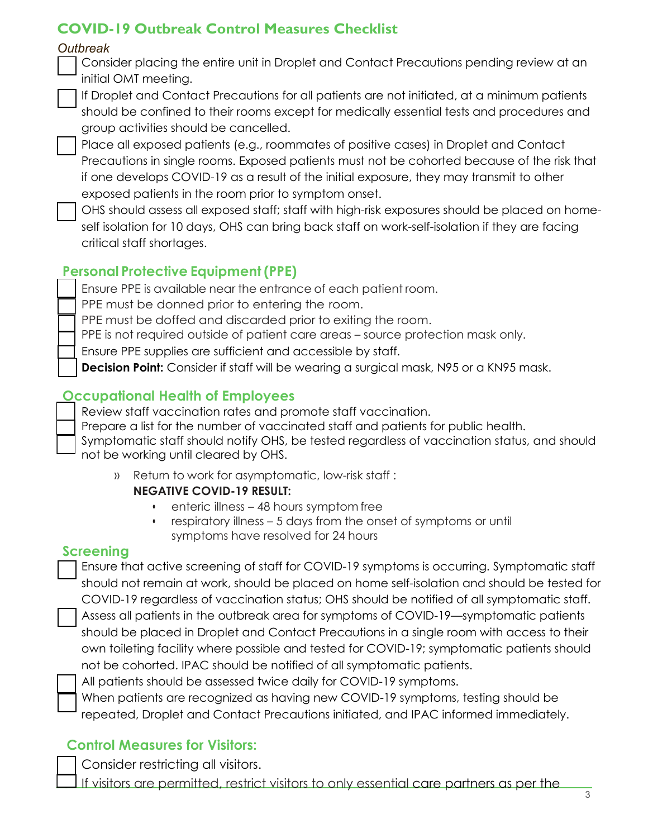#### *Outbreak*

Consider placing the entire unit in Droplet and Contact Precautions pending review at an initial OMT meeting.

If Droplet and Contact Precautions for all patients are not initiated, at a minimum patients should be confined to their rooms except for medically essential tests and procedures and group activities should be cancelled.

Place all exposed patients (e.g., roommates of positive cases) in Droplet and Contact Precautions in single rooms. Exposed patients must not be cohorted because of the risk that if one develops COVID-19 as a result of the initial exposure, they may transmit to other exposed patients in the room prior to symptom onset.

OHS should assess all exposed staff; staff with high-risk exposures should be placed on homeself isolation for 10 days, OHS can bring back staff on work-self-isolation if they are facing critical staff shortages.

# **Personal Protective Equipment(PPE)**

Ensure PPE is available near the entrance of each patient room.

PPE must be donned prior to entering the room.

PPE must be doffed and discarded prior to exiting the room.

PPE is not required outside of patient care areas – source protection mask only.

Ensure PPE supplies are sufficient and accessible by staff.

**Decision Point:** Consider if staff will be wearing a surgical mask, N95 or a KN95 mask.

## **Occupational Health of Employees**

Review staff vaccination rates and promote staff vaccination.

Prepare a list for the number of vaccinated staff and patients for public health.

Symptomatic staff should notify OHS, be tested regardless of vaccination status, and should not be working until cleared by OHS.

- » Return to work for asymptomatic, low-risk staff : **NEGATIVE COVID-19 RESULT:**
	- enteric illness 48 hours symptom free
	- respiratory illness 5 days from the onset of symptoms or until symptoms have resolved for 24 hours

### **Screening**

Ensure that active screening of staff for COVID-19 symptoms is occurring. Symptomatic staff should not remain at work, should be placed on home self-isolation and should be tested for COVID-19 regardless of vaccination status; OHS should be notified of all symptomatic staff. Assess all patients in the outbreak area for symptoms of COVID-19—symptomatic patients should be placed in Droplet and Contact Precautions in a single room with access to their own toileting facility where possible and tested for COVID-19; symptomatic patients should not be cohorted. IPAC should be notified of all symptomatic patients.

All patients should be assessed twice daily for COVID-19 symptoms.

When patients are recognized as having new COVID-19 symptoms, testing should be repeated, Droplet and Contact Precautions initiated, and IPAC informed immediately.

# **Control Measures for Visitors:**

Consider restricting all visitors.

If visitors are permitted, restrict visitors to only essential care partners as per the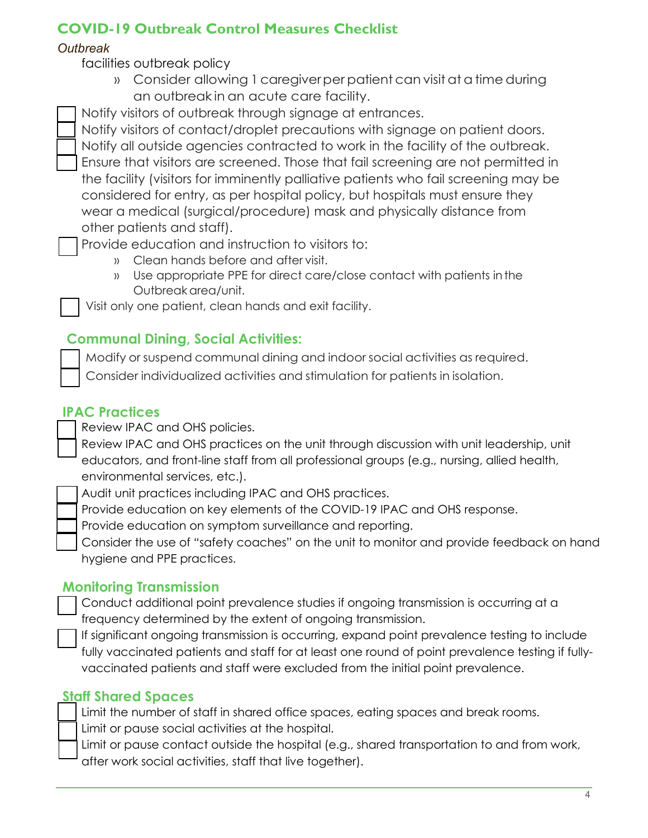#### *Outbreak*

facilities outbreak policy

» Consider allowing 1 caregiverper patient can visitat a timeduring an outbreak in an acute care facility.

Notify visitors of outbreak through signage at entrances.

Notify visitors of contact/droplet precautions with signage on patient doors. Notify all outside agencies contracted to work in the facility of the outbreak. Ensure that visitors are screened. Those that fail screening are not permitted in the facility (visitors for imminently palliative patients who fail screening may be considered for entry, as per hospital policy, but hospitals must ensure they wear a medical (surgical/procedure) mask and physically distance from other patients and staff).

Provide education and instruction to visitors to:

- » Clean hands before and after visit.
- » Use appropriate PPE for direct care/close contact with patients inthe Outbreakarea/unit.

Visit only one patient, clean hands and exit facility.

# **Communal Dining, Social Activities:**

Modify or suspend communal dining and indoor social activities as required.

Consider individualized activities and stimulation for patients in isolation.

# **IPAC Practices**

Review IPAC and OHS policies.

Review IPAC and OHS practices on the unit through discussion with unit leadership, unit educators, and front-line staff from all professional groups (e.g., nursing, allied health, environmental services, etc.).

Audit unit practices including IPAC and OHS practices.

Provide education on key elements of the COVID-19 IPAC and OHS response.

Provide education on symptom surveillance and reporting.

Consider the use of "safety coaches" on the unit to monitor and provide feedback on hand hygiene and PPE practices.

# **Monitoring Transmission**

Conduct additional point prevalence studies if ongoing transmission is occurring at a frequency determined by the extent of ongoing transmission.

If significant ongoing transmission is occurring, expand point prevalence testing to include fully vaccinated patients and staff for at least one round of point prevalence testing if fullyvaccinated patients and staff were excluded from the initial point prevalence.

### **Staff Shared Spaces**

Limit the number of staff in shared office spaces, eating spaces and break rooms. Limit or pause social activities at the hospital.

Limit or pause contact outside the hospital (e.g., shared transportation to and from work, after work social activities, staff that live together).